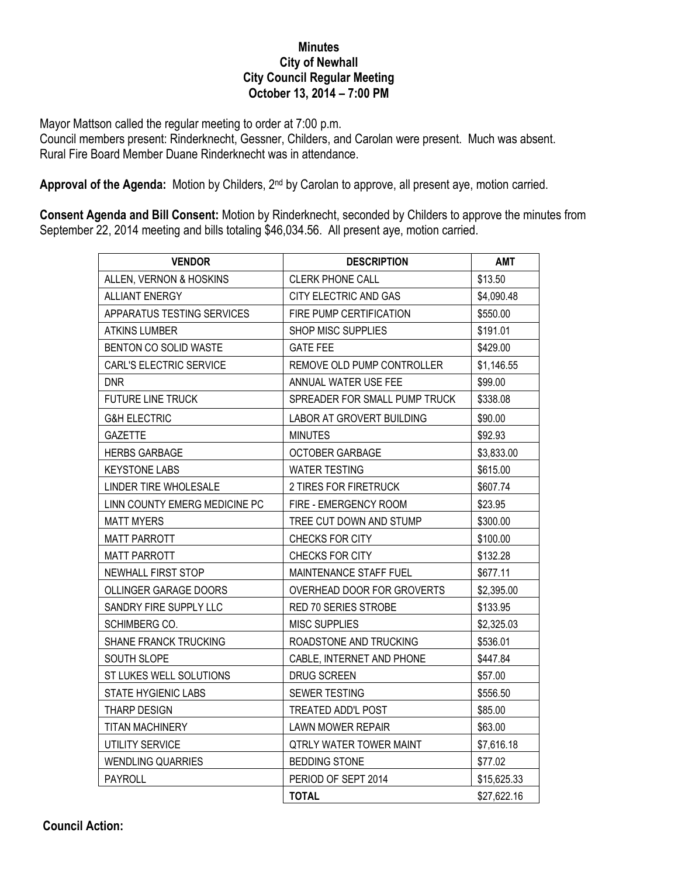## **Minutes City of Newhall City Council Regular Meeting October 13, 2014 – 7:00 PM**

Mayor Mattson called the regular meeting to order at 7:00 p.m.

Council members present: Rinderknecht, Gessner, Childers, and Carolan were present. Much was absent. Rural Fire Board Member Duane Rinderknecht was in attendance.

**Approval of the Agenda:** Motion by Childers, 2nd by Carolan to approve, all present aye, motion carried.

**Consent Agenda and Bill Consent:** Motion by Rinderknecht, seconded by Childers to approve the minutes from September 22, 2014 meeting and bills totaling \$46,034.56. All present aye, motion carried.

| <b>VENDOR</b>                 | <b>DESCRIPTION</b>            | <b>AMT</b>  |
|-------------------------------|-------------------------------|-------------|
| ALLEN, VERNON & HOSKINS       | <b>CLERK PHONE CALL</b>       | \$13.50     |
| <b>ALLIANT ENERGY</b>         | CITY ELECTRIC AND GAS         | \$4,090.48  |
| APPARATUS TESTING SERVICES    | FIRE PUMP CERTIFICATION       | \$550.00    |
| <b>ATKINS LUMBER</b>          | SHOP MISC SUPPLIES            | \$191.01    |
| BENTON CO SOLID WASTE         | <b>GATE FEE</b>               | \$429.00    |
| CARL'S ELECTRIC SERVICE       | REMOVE OLD PUMP CONTROLLER    | \$1,146.55  |
| <b>DNR</b>                    | ANNUAL WATER USE FEE          | \$99.00     |
| <b>FUTURE LINE TRUCK</b>      | SPREADER FOR SMALL PUMP TRUCK | \$338.08    |
| <b>G&amp;H ELECTRIC</b>       | LABOR AT GROVERT BUILDING     | \$90.00     |
| <b>GAZETTE</b>                | <b>MINUTES</b>                | \$92.93     |
| <b>HERBS GARBAGE</b>          | <b>OCTOBER GARBAGE</b>        | \$3,833.00  |
| <b>KEYSTONE LABS</b>          | <b>WATER TESTING</b>          | \$615.00    |
| LINDER TIRE WHOLESALE         | 2 TIRES FOR FIRETRUCK         | \$607.74    |
| LINN COUNTY EMERG MEDICINE PC | FIRE - EMERGENCY ROOM         | \$23.95     |
| <b>MATT MYERS</b>             | TREE CUT DOWN AND STUMP       | \$300.00    |
| <b>MATT PARROTT</b>           | CHECKS FOR CITY               | \$100.00    |
| <b>MATT PARROTT</b>           | CHECKS FOR CITY               | \$132.28    |
| NEWHALL FIRST STOP            | MAINTENANCE STAFF FUEL        | \$677.11    |
| OLLINGER GARAGE DOORS         | OVERHEAD DOOR FOR GROVERTS    | \$2,395.00  |
| SANDRY FIRE SUPPLY LLC        | RED 70 SERIES STROBE          | \$133.95    |
| SCHIMBERG CO.                 | <b>MISC SUPPLIES</b>          | \$2,325.03  |
| <b>SHANE FRANCK TRUCKING</b>  | ROADSTONE AND TRUCKING        | \$536.01    |
| SOUTH SLOPE                   | CABLE, INTERNET AND PHONE     | \$447.84    |
| ST LUKES WELL SOLUTIONS       | DRUG SCREEN                   | \$57.00     |
| STATE HYGIENIC LABS           | SEWER TESTING                 | \$556.50    |
| <b>THARP DESIGN</b>           | TREATED ADD'L POST            | \$85.00     |
| <b>TITAN MACHINERY</b>        | <b>LAWN MOWER REPAIR</b>      | \$63.00     |
| UTILITY SERVICE               | QTRLY WATER TOWER MAINT       | \$7,616.18  |
| <b>WENDLING QUARRIES</b>      | <b>BEDDING STONE</b>          | \$77.02     |
| PAYROLL                       | PERIOD OF SEPT 2014           | \$15,625.33 |
|                               | <b>TOTAL</b>                  | \$27,622.16 |